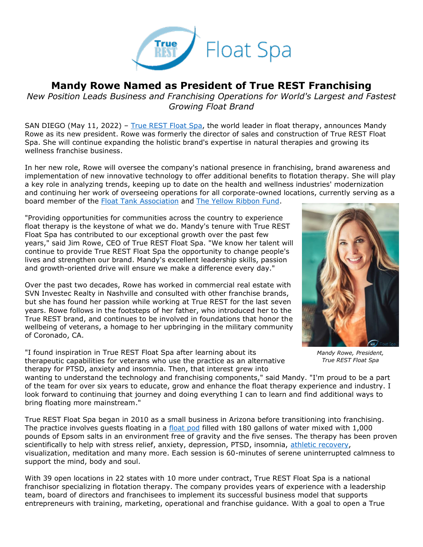

## **Mandy Rowe Named as President of True REST Franchising**

*New Position Leads Business and Franchising Operations for World's Largest and Fastest Growing Float Brand*

SAN DIEGO (May 11, 2022) – [True REST Float Spa,](https://truerest.com/about-us/?utm_source=true+rest+press+release&utm_medium=accesswire.com&utm_campaign=true+rest+2022+mandy+president&utm_content=true+rest+hyperlink+1) the world leader in float therapy, announces Mandy Rowe as its new president. Rowe was formerly the director of sales and construction of True REST Float Spa. She will continue expanding the holistic brand's expertise in natural therapies and growing its wellness franchise business.

In her new role, Rowe will oversee the company's national presence in franchising, brand awareness and implementation of new innovative technology to offer additional benefits to flotation therapy. She will play a key role in analyzing trends, keeping up to date on the health and wellness industries' modernization and continuing her work of overseeing operations for all corporate-owned locations, currently serving as a board member of the [Float Tank Association](https://www.floatation.org/) and [The Yellow Ribbon Fund.](https://yellowribbonfund.org/donate/)

"Providing opportunities for communities across the country to experience float therapy is the keystone of what we do. Mandy's tenure with True REST Float Spa has contributed to our exceptional growth over the past few years," said Jim Rowe, CEO of True REST Float Spa. "We know her talent will continue to provide True REST Float Spa the opportunity to change people's lives and strengthen our brand. Mandy's excellent leadership skills, passion and growth-oriented drive will ensure we make a difference every day."

Over the past two decades, Rowe has worked in commercial real estate with SVN Investec Realty in Nashville and consulted with other franchise brands, but she has found her passion while working at True REST for the last seven years. Rowe follows in the footsteps of her father, who introduced her to the True REST brand, and continues to be involved in foundations that honor the wellbeing of veterans, a homage to her upbringing in the military community of Coronado, CA.

"I found inspiration in True REST Float Spa after learning about its therapeutic capabilities for veterans who use the practice as an alternative therapy for PTSD, anxiety and insomnia. Then, that interest grew into



*Mandy Rowe, President, True REST Float Spa*

wanting to understand the technology and franchising components," said Mandy. "I'm proud to be a part of the team for over six years to educate, grow and enhance the float therapy experience and industry. I look forward to continuing that journey and doing everything I can to learn and find additional ways to bring floating more mainstream."

True REST Float Spa began in 2010 as a small business in Arizona before transitioning into franchising. The practice involves guests floating in a [float pod](https://truerest.com/the-evolution-of-true-rest-float-pods/?utm_source=true+rest+press+release&utm_medium=accesswire.com&utm_campaign=true+rest+2022+mandy+president&utm_content=true+rest+hyperlink+2) filled with 180 gallons of water mixed with 1,000 pounds of Epsom salts in an environment free of gravity and the five senses. The therapy has been proven scientifically to help with stress relief, anxiety, depression, PTSD, insomnia, [athletic recovery,](https://truerest.com/float-therapy-is-an-effective-athletic-recovery-tool/?utm_source=true+rest+press+release&utm_medium=accesswire.com&utm_campaign=true+rest+2022+mandy+president&utm_content=true+rest+hyperlink+3) visualization, meditation and many more. Each session is 60-minutes of serene uninterrupted calmness to support the mind, body and soul.

With 39 open locations in 22 states with 10 more under contract, True REST Float Spa is a national franchisor specializing in flotation therapy. The company provides years of experience with a leadership team, board of directors and franchisees to implement its successful business model that supports entrepreneurs with training, marketing, operational and franchise guidance. With a goal to open a True